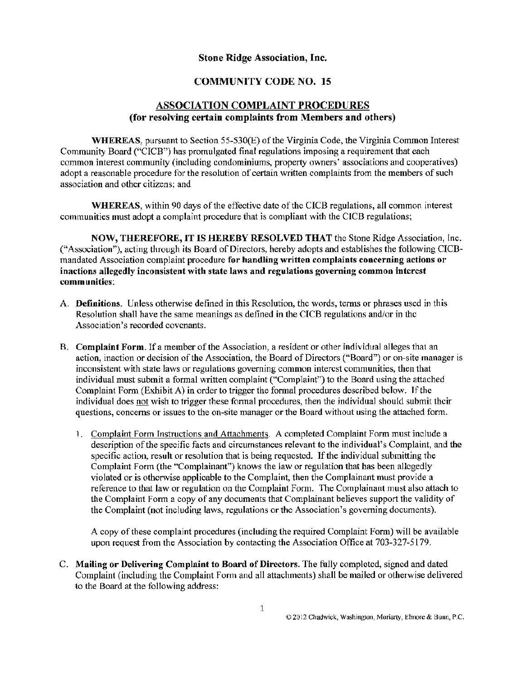### **Stone Ridge Association, Inc.**

### **COMMUNITY CODE NO. 15**

### **ASSOCIATION COMPLAINT PROCEDURES (for resolving certain complaints from Members and others)**

**WHEREAS,** pursuant to Section 55-530(E) of the Virginia Code, the Virginia Common Interest Community Board ("CICB") has promulgated final regulations imposing a requirement that each common interest community (including condominiums, property owners' associations and cooperatives) adopt a reasonable procedure for the resolution of certain written complaints from the members of such association and other citizens; and

**WHEREAS,** within 90 days of the effective date of the CICB regulations, all common interest communities must adopt a complaint procedure that is compliant with the CICB regulations;

**NOW, THEREFORE,** IT **IS HEREBY RESOLVED THAT** the Stone Ridge Association, Inc. ("Association"), acting through its Board of Directors, hereby adopts and establishes the following CICBmandated Association complaint procedure **for handling written complaints concerning actions or inactions allegedly inconsistent with state laws and regulations governing common interest communities:** 

- A. **Definitions.** Unless otherwise defined in this Resolution, the words, terms or phrases used in this Resolution shall have the same meanings as defined **in** the CICB regulations and/or in the Association's recorded covenants.
- B. **Com plaint Form.** If a member of the Association, a resident or other individual alleges that an action, inaction or decision of the Association, the Board of Directors ("Board") or on-site manager is inconsistent with state laws or regulations governing common interest communities, then that individual must submit a formal written complaint ("Complaint") to the Board using the attached Complaint Form (Exhibit A) in order to trigger the formal procedures described below. If the individual does not wish to trigger these fonnal procedures, then the individual should submit their questions, concerns or issues to the on-site manager or the Board without using the attached form.
	- 1. Complaint Form Instructions and Attachments. A completed Complaint Form must include a description of the specific facts and circumstances relevant to the individual's Complaint, and the specific action, result or resolution that is being requested. If the individual submitting the Complaint Form (the "Complainant") knows the law or regulation that has been allegedly violated or is otherwise applicable to the Complaint, then the Complainant must provide a reference to that law or regulation on the Complaint Form. The Complainant must also attach to the Complaint Form a copy of any documents that Complainant believes support the validity of the Complaint (not including laws, regulations or the Association's governing documents).

A copy of these complaint procedures (including lhe required Complaint Form) will be available upon request from the Association by contacting the Association Office at 703-327-5179.

C. **Mailing or Delivering Complaint to Board of Directors.** The fully completed, signed and dated Complaint (including the Complaint Form and all attachments) shall be mailed or otherwise delivered to the Board at the following address: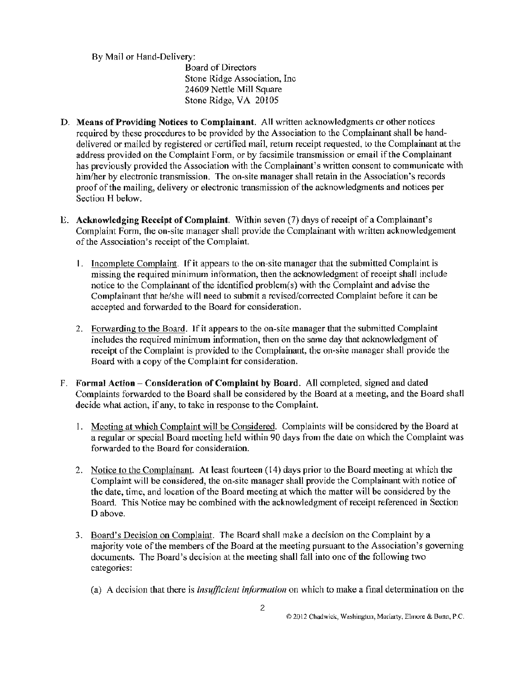By Mail or Hand-Delivery:

Board of Directors Stone Ridge Association, Inc 24609 Nettle Mill Square Stone Ridge, VA 20105

- D. **Means** of **Providing Notices to Complainant.** All written acknowledgments or other notices required by these procedures to be provided by the Association to the Complainant shall be handdelivered or mailed by registered or certified mail, return receipt requested, to the Complainant at the address provided on the Complaint Form, or by facsimile transmission or email if the Complainant has previously provided the Association with the Complainant's written consent to communicate with him/her by electronic transmission. The on-site manager shall retain in the Association's records proof of the mailing, delivery or electronic transmission of the acknowledgments and notices per Section H below.
- E. **Acknowledging Receipt of Complaint.** Within seven (7) days of receipt of a Complainant's Complaint Form, the on-site manager shall provide the Complainant with written acknowledgement of the Association's receipt of the Complaint.
	- I. Incomplete Complaint. If it appears to the on-site manager that the submitted Complaint is missing the required minimum information, then the acknowledgment of receipt shall include notice to the Complainant of the identified problem(s) with the Complaint and advise the Complainant that he/she will need to submit a revised/corrected Complaint before it can be accepted and forwarded to the Board for consideration.
	- 2. Forwarding to the Board. If it appears to the on-site manager that the submitted Complaint includes the required minimum information, then on the same day that acknowledgment of receipt of the Complaint is provided to the Complainant, the on-site manager shall provide the Board with a copy of the Complaint for consideration.
- F. **Formal Action Consideration of Complaint by Board. All** completed, signed and dated Complaints forwarded to the Board shall be considered by the Board at a meeting, and the Board shall decide what action, if any, to take in response to the Complaint.
	- l. Meeting at which Complaint will be Considered. Complaints will be considered by the Board at a regular or special Board meeting held within 90 days from the date on which the Complaint was forwarded to the Board for consideration.
	- 2. Notice to the Complainant. At least fourteen (14) days prior to the Board meeting at which the Complaint will be considered, the on-site manager shall provide the Complainant with notice of the date, time, and location of the Board meeting at which the matter will be considered by the Board. This Notice may be combined with the acknowledgment of receipt referenced in Section D above.
	- 3. Board's Decision on Complaint. The Board shall make a decision on the Complaint by a majority vote of the members of the Board at the meeting pursuant to the Association's governing documents. The Board's decision at the meeting shall fall into one of the following two categories:
		- (a) A decision that there is *insufficient information* on which to make a final determination on the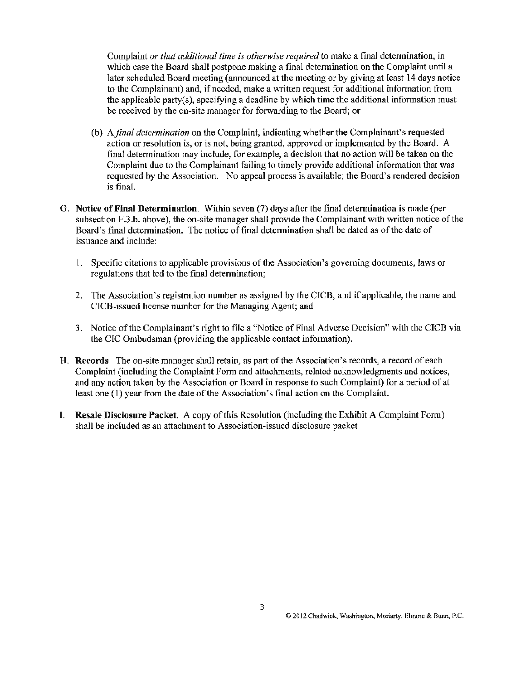Complaint *or that additional time is otherwise required* to make a final determination, in which case the Board shall postpone making a final determination on the Complaint until a later scheduled Board meeting ( announced at the meeting or by giving at least 14 days notice to the Complainant) and, if needed, make a written request for additional information from the applicable party(s), specifying a deadline by which time the additional infonnation must be received by the on-site manager for forwarding to the Board; or

- (b) *A.final determination* on the Complaint, indicating whether the Complainant's requested action or resolution is, or is not, being granted, approved or implemented by the Board. A final determination may include, for example, a decision that no action will be taken on the Complaint due to the Complainant failing to timely provide additional information that was requested by the Association. No appeal process is available; the Board's rendered decision is final.
- G. **Notice of Final Determination.** Within seven (7) days after the final determination is made (per subsection F.3.b. above), the on-site manager shall provide the Complainant with written notice of the Board's final determination. The notice of final determination shall be dated as of the date of issuance and include:
	- 1. Specific citations to applicable provisions of the Association's governing documents, laws or regulations that led to the final determination;
	- 2. The Association's registration number as assigned by the CICB, and if applicable, the name and CICB-issucd license number for the Managing Agent; and
	- 3. Notice of the Complainant's right to file a "Notice of Final Adverse Decision" with the CICB via the CIC Ombudsman (providing the applicable contact information).
- H. **Records.** The on-site manager shall retain, as part of the Association's records, a record of each Complaint (including the Complaint Form and attachments, related acknowledgments and notices, and any action taken by the Association or Board in response to such Complaint) for a period of at least one ( 1) year from the date of the Association's final action on the Complaint.
- I. **Resale Disclosure Packet.** A copy of this Resolution (including the Exhibit A Complaint Form) shall be included as an attachment to Association-issued disclosure packet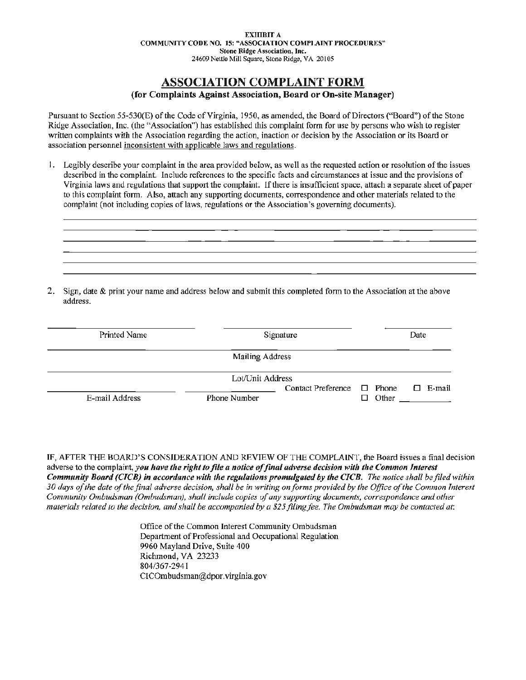# **ASSOCIATION COMPLAINT FORM**

#### **(for Complaints Against Association, Board or On-site Manager)**

Pursuant to Section 55-530(E) of the Code of Virginia, 1950, as amended, the Board of Directors ("Board") of the Stone Ridge Association, Inc. (the "Association") has established this complaint form for use by persons who wish to register written complaints with the Association regarding the action, inaction or decision by the Association or its Board or association personnel inconsistent with applicable laws and regulations.

I. Legibly describe your complaint in the area provided below, as well as the requested action or resolution of the issues described in the complaint. Include references to the specific facts and circumstances at issue and the provisions of Virginia laws and regulations that support the complaint. If there is insufficient space, attach a separate sheet of paper to this complaint form. Also, attach any supporting documents, correspondence and other materials related to the complaint (not including copies of laws, regulations or the Association's governing documents).



2. Sign, date & print your name and address below and submit this completed form to the Association at the above address.

| Printed Name   | Signature                                           | Date                |
|----------------|-----------------------------------------------------|---------------------|
|                | Mailing Address                                     |                     |
|                | Lot/Unit Address<br>Contact Preference $\Box$ Phone | $\square$ E-mail    |
| E-mail Address | Phone Number                                        | Other $\qquad$<br>п |

IF, AFTER THE HOARD'S CONSIDERATION AND REVIEW OF THE COMPLAINT, the Board issues a final decision adverse to the complaint, *you have the right to file a notice of final adverse decision with the Common Interest Community Board (CICB) in accordance with the regulations promulgated by the CICB. The notice shall be filed within 30 days of the date of the final adverse decision, shall be in writing on forms provided by the Office of the Common Interest Community Ombudsman {Ombudsman), shall include copies of any supporting documents, correspondence and other materials related to the decision, and shall be accompanied by a \$25 filing fee. The Ombudsman may be contacted at:* 

> Office of the Common Interest Community Ombudsman Department of Professional and Occupational Regulation 9960 Mayland Drive, Suite 400 Richmond, VA 23233 804/367-294 l CICOmbudsman@dpor.virginia.gov